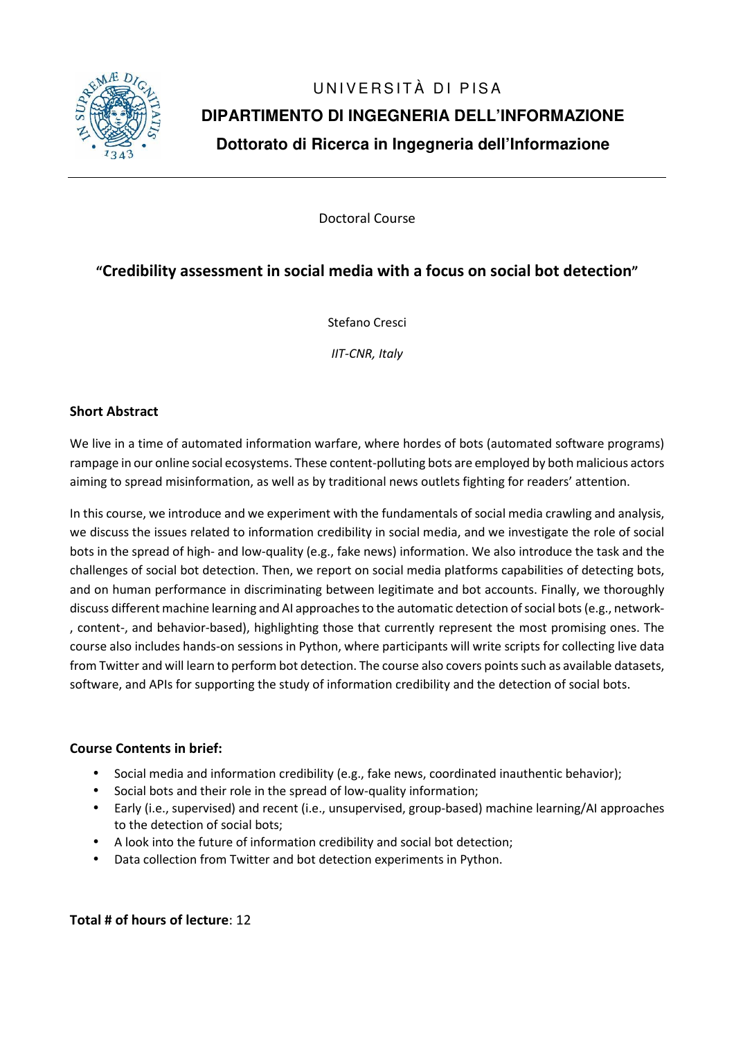

# UNIVERSITÀ DI PISA **DIPARTIMENTO DI INGEGNERIA DELL'INFORMAZIONE Dottorato di Ricerca in Ingegneria dell'Informazione**

Doctoral Course

## **"Credibility assessment in social media with a focus on social bot detection"**

Stefano Cresci

*IIT-CNR, Italy* 

### **Short Abstract**

We live in a time of automated information warfare, where hordes of bots (automated software programs) rampage in our online social ecosystems. These content-polluting bots are employed by both malicious actors aiming to spread misinformation, as well as by traditional news outlets fighting for readers' attention.

In this course, we introduce and we experiment with the fundamentals of social media crawling and analysis, we discuss the issues related to information credibility in social media, and we investigate the role of social bots in the spread of high- and low-quality (e.g., fake news) information. We also introduce the task and the challenges of social bot detection. Then, we report on social media platforms capabilities of detecting bots, and on human performance in discriminating between legitimate and bot accounts. Finally, we thoroughly discuss different machine learning and AI approaches to the automatic detection of social bots (e.g., network- , content-, and behavior-based), highlighting those that currently represent the most promising ones. The course also includes hands-on sessions in Python, where participants will write scripts for collecting live data from Twitter and will learn to perform bot detection. The course also covers points such as available datasets, software, and APIs for supporting the study of information credibility and the detection of social bots.

#### **Course Contents in brief:**

- Social media and information credibility (e.g., fake news, coordinated inauthentic behavior);
- Social bots and their role in the spread of low-quality information;
- Early (i.e., supervised) and recent (i.e., unsupervised, group-based) machine learning/AI approaches to the detection of social bots;
- A look into the future of information credibility and social bot detection;
- Data collection from Twitter and bot detection experiments in Python.

**Total # of hours of lecture**: 12